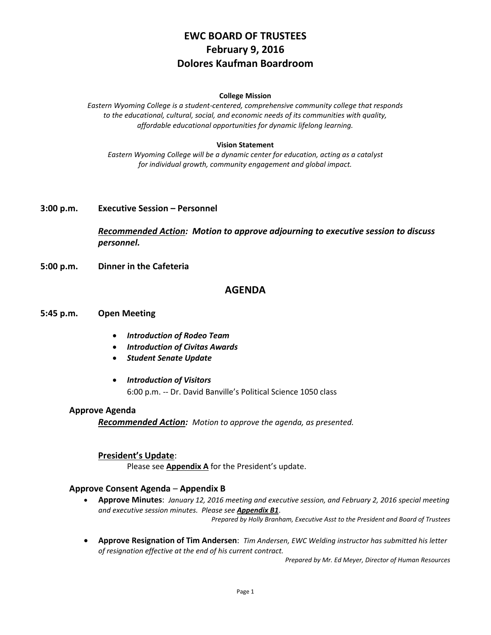# **EWC BOARD OF TRUSTEES February 9, 2016 Dolores Kaufman Boardroom**

#### **College Mission**

*Eastern Wyoming College is a student-centered, comprehensive community college that responds to the educational, cultural, social, and economic needs of its communities with quality, affordable educational opportunities for dynamic lifelong learning.*

#### **Vision Statement**

*Eastern Wyoming College will be a dynamic center for education, acting as a catalyst for individual growth, community engagement and global impact.*

#### **3:00 p.m. Executive Session – Personnel**

*Recommended Action: Motion to approve adjourning to executive session to discuss personnel.*

**5:00 p.m. Dinner in the Cafeteria**

# **AGENDA**

#### **5:45 p.m. Open Meeting**

- *Introduction of Rodeo Team*
- *Introduction of Civitas Awards*
- *Student Senate Update*
- *Introduction of Visitors* 6:00 p.m. -- Dr. David Banville's Political Science 1050 class

#### **Approve Agenda**

*Recommended Action: Motion to approve the agenda, as presented.*

#### **President's Update**:

Please see **Appendix A** for the President's update.

#### **Approve Consent Agenda** – **Appendix B**

- **Approve Minutes**: *January 12, 2016 meeting and executive session, and February 2, 2016 special meeting and executive session minutes. Please see Appendix B1*. *Prepared by Holly Branham, Executive Asst to the President and Board of Trustees*
- **Approve Resignation of Tim Andersen**: *Tim Andersen, EWC Welding instructor has submitted his letter of resignation effective at the end of his current contract.*

*Prepared by Mr. Ed Meyer, Director of Human Resources*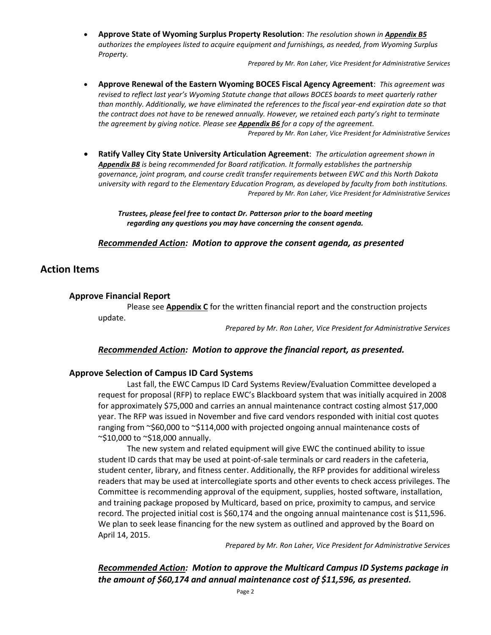**Approve State of Wyoming Surplus Property Resolution**: *The resolution shown in Appendix B5 authorizes the employees listed to acquire equipment and furnishings, as needed, from Wyoming Surplus Property.*

*Prepared by Mr. Ron Laher, Vice President for Administrative Services*

- **Approve Renewal of the Eastern Wyoming BOCES Fiscal Agency Agreement**: *This agreement was revised to reflect last year's Wyoming Statute change that allows BOCES boards to meet quarterly rather than monthly. Additionally, we have eliminated the references to the fiscal year-end expiration date so that the contract does not have to be renewed annually. However, we retained each party's right to terminate the agreement by giving notice. Please see Appendix B6 for a copy of the agreement. Prepared by Mr. Ron Laher, Vice President for Administrative Services*
- **Ratify Valley City State University Articulation Agreement**: *The articulation agreement shown in Appendix B8 is being recommended for Board ratification. It formally establishes the partnership governance, joint program, and course credit transfer requirements between EWC and this North Dakota university with regard to the Elementary Education Program, as developed by faculty from both institutions. Prepared by Mr. Ron Laher, Vice President for Administrative Services*

*Trustees, please feel free to contact Dr. Patterson prior to the board meeting regarding any questions you may have concerning the consent agenda.*

# *Recommended Action: Motion to approve the consent agenda, as presented*

# **Action Items**

#### **Approve Financial Report**

Please see **Appendix C** for the written financial report and the construction projects

update.

*Prepared by Mr. Ron Laher, Vice President for Administrative Services*

#### *Recommended Action: Motion to approve the financial report, as presented.*

#### **Approve Selection of Campus ID Card Systems**

Last fall, the EWC Campus ID Card Systems Review/Evaluation Committee developed a request for proposal (RFP) to replace EWC's Blackboard system that was initially acquired in 2008 for approximately \$75,000 and carries an annual maintenance contract costing almost \$17,000 year. The RFP was issued in November and five card vendors responded with initial cost quotes ranging from ~\$60,000 to ~\$114,000 with projected ongoing annual maintenance costs of  $\sim$ \$10,000 to  $\sim$ \$18,000 annually.

The new system and related equipment will give EWC the continued ability to issue student ID cards that may be used at point-of-sale terminals or card readers in the cafeteria, student center, library, and fitness center. Additionally, the RFP provides for additional wireless readers that may be used at intercollegiate sports and other events to check access privileges. The Committee is recommending approval of the equipment, supplies, hosted software, installation, and training package proposed by Multicard, based on price, proximity to campus, and service record. The projected initial cost is \$60,174 and the ongoing annual maintenance cost is \$11,596. We plan to seek lease financing for the new system as outlined and approved by the Board on April 14, 2015.

*Prepared by Mr. Ron Laher, Vice President for Administrative Services*

*Recommended Action: Motion to approve the Multicard Campus ID Systems package in the amount of \$60,174 and annual maintenance cost of \$11,596, as presented.*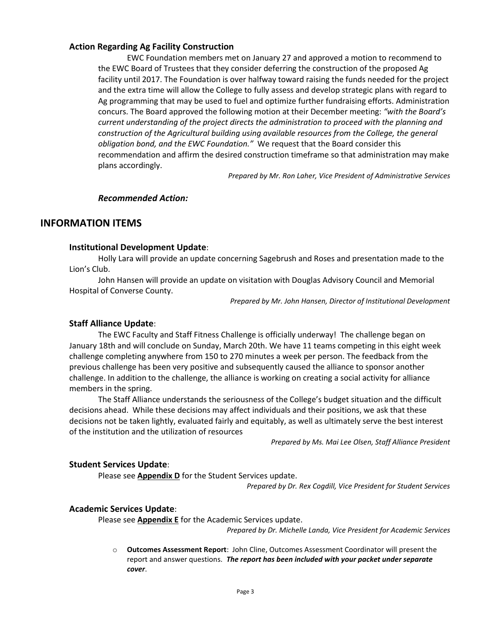# **Action Regarding Ag Facility Construction**

EWC Foundation members met on January 27 and approved a motion to recommend to the EWC Board of Trustees that they consider deferring the construction of the proposed Ag facility until 2017. The Foundation is over halfway toward raising the funds needed for the project and the extra time will allow the College to fully assess and develop strategic plans with regard to Ag programming that may be used to fuel and optimize further fundraising efforts. Administration concurs. The Board approved the following motion at their December meeting: *"with the Board's current understanding of the project directs the administration to proceed with the planning and construction of the Agricultural building using available resources from the College, the general obligation bond, and the EWC Foundation."* We request that the Board consider this recommendation and affirm the desired construction timeframe so that administration may make plans accordingly.

*Prepared by Mr. Ron Laher, Vice President of Administrative Services*

# *Recommended Action:*

# **INFORMATION ITEMS**

# **Institutional Development Update**:

Holly Lara will provide an update concerning Sagebrush and Roses and presentation made to the Lion's Club.

John Hansen will provide an update on visitation with Douglas Advisory Council and Memorial Hospital of Converse County.

*Prepared by Mr. John Hansen, Director of Institutional Development*

# **Staff Alliance Update**:

The EWC Faculty and Staff Fitness Challenge is officially underway! The challenge began on January 18th and will conclude on Sunday, March 20th. We have 11 teams competing in this eight week challenge completing anywhere from 150 to 270 minutes a week per person. The feedback from the previous challenge has been very positive and subsequently caused the alliance to sponsor another challenge. In addition to the challenge, the alliance is working on creating a social activity for alliance members in the spring.

The Staff Alliance understands the seriousness of the College's budget situation and the difficult decisions ahead.While these decisions may affect individuals and their positions, we ask that these decisions not be taken lightly, evaluated fairly and equitably, as well as ultimately serve the best interest of the institution and the utilization of resources

*Prepared by Ms. Mai Lee Olsen, Staff Alliance President*

#### **Student Services Update**:

Please see **Appendix D** for the Student Services update.

*Prepared by Dr. Rex Cogdill, Vice President for Student Services*

# **Academic Services Update**:

Please see **Appendix E** for the Academic Services update.

*Prepared by Dr. Michelle Landa, Vice President for Academic Services*

o **Outcomes Assessment Report**: John Cline, Outcomes Assessment Coordinator will present the report and answer questions. *The report has been included with your packet under separate cover*.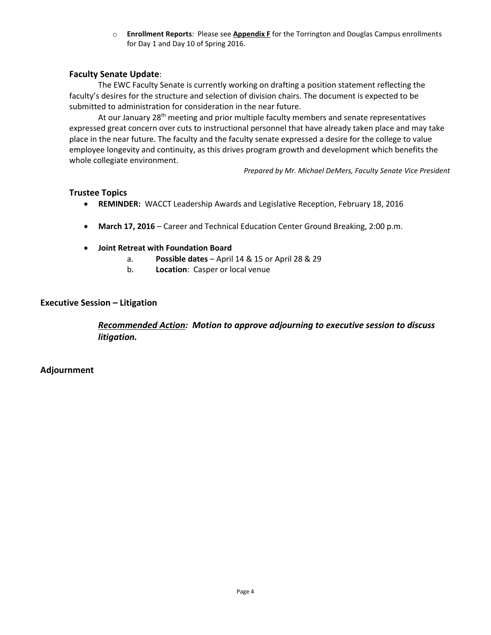o **Enrollment Reports**: Please see **Appendix F** for the Torrington and Douglas Campus enrollments for Day 1 and Day 10 of Spring 2016.

# **Faculty Senate Update**:

The EWC Faculty Senate is currently working on drafting a position statement reflecting the faculty's desires for the structure and selection of division chairs. The document is expected to be submitted to administration for consideration in the near future.

At our January 28<sup>th</sup> meeting and prior multiple faculty members and senate representatives expressed great concern over cuts to instructional personnel that have already taken place and may take place in the near future. The faculty and the faculty senate expressed a desire for the college to value employee longevity and continuity, as this drives program growth and development which benefits the whole collegiate environment.

*Prepared by Mr. Michael DeMers, Faculty Senate Vice President*

# **Trustee Topics**

- **REMINDER:** WACCT Leadership Awards and Legislative Reception, February 18, 2016
- **March 17, 2016** Career and Technical Education Center Ground Breaking, 2:00 p.m.
- **Joint Retreat with Foundation Board**
	- a. **Possible dates** April 14 & 15 or April 28 & 29
	- b. **Location**: Casper or local venue

# **Executive Session – Litigation**

*Recommended Action: Motion to approve adjourning to executive session to discuss litigation.*

**Adjournment**